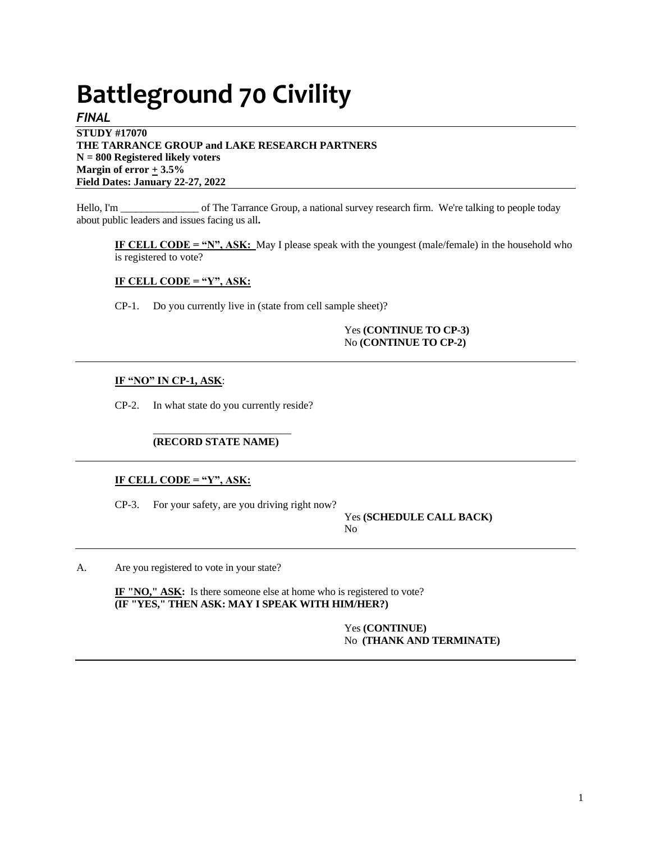# **Battleground 70 Civility**

*FINAL* **STUDY #17070 THE TARRANCE GROUP and LAKE RESEARCH PARTNERS N = 800 Registered likely voters Margin of error**  $\pm$  3.5% **Field Dates: January 22-27, 2022**

Hello, I'm \_\_\_\_\_\_\_\_\_\_\_\_\_\_\_\_ of The Tarrance Group, a national survey research firm. We're talking to people today about public leaders and issues facing us all**.** 

**IF CELL CODE = "N", ASK:** May I please speak with the youngest (male/female) in the household who is registered to vote?

## **IF CELL CODE = "Y", ASK:**

CP-1. Do you currently live in (state from cell sample sheet)?

Yes **(CONTINUE TO CP-3)** No **(CONTINUE TO CP-2)**

## **IF "NO" IN CP-1, ASK**:

CP-2. In what state do you currently reside?

## \_\_\_\_\_\_\_\_\_\_\_\_\_\_\_\_\_\_\_\_\_\_\_\_\_\_ **(RECORD STATE NAME)**

## **IF CELL CODE = "Y", ASK:**

CP-3. For your safety, are you driving right now?

Yes **(SCHEDULE CALL BACK)** No

A. Are you registered to vote in your state?

**IF "NO," ASK:** Is there someone else at home who is registered to vote? **(IF "YES," THEN ASK: MAY I SPEAK WITH HIM/HER?)**

> Yes **(CONTINUE)** No **(THANK AND TERMINATE)**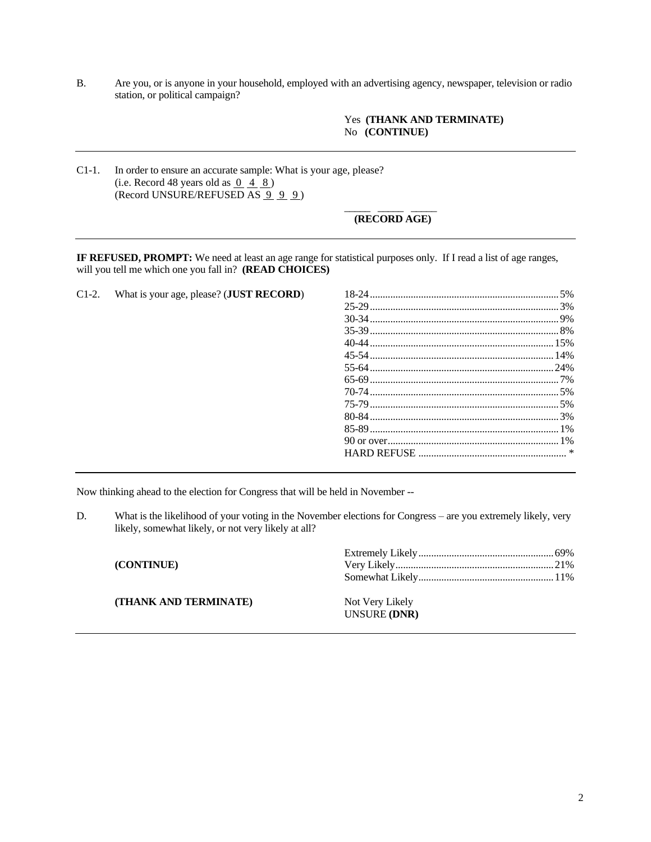B. Are you, or is anyone in your household, employed with an advertising agency, newspaper, television or radio station, or political campaign?

## Yes **(THANK AND TERMINATE)** No **(CONTINUE)**

C1-1. In order to ensure an accurate sample: What is your age, please? (i.e. Record 48 years old as  $\overline{0}$  4  $\overline{8}$ ) (Record UNSURE/REFUSED AS  $9\overline{9}$  9)

### \_\_\_\_\_ \_\_\_\_\_ \_\_\_\_\_ **(RECORD AGE)**

**IF REFUSED, PROMPT:** We need at least an age range for statistical purposes only. If I read a list of age ranges, will you tell me which one you fall in? **(READ CHOICES)**

C1-2. What is your age, please? (**JUST RECORD**) 18-24..........................................................................5%

Now thinking ahead to the election for Congress that will be held in November --

D. What is the likelihood of your voting in the November elections for Congress – are you extremely likely, very likely, somewhat likely, or not very likely at all?

| (CONTINUE)            |                                 |  |
|-----------------------|---------------------------------|--|
| (THANK AND TERMINATE) | Not Very Likely<br>UNSURE (DNR) |  |
|                       |                                 |  |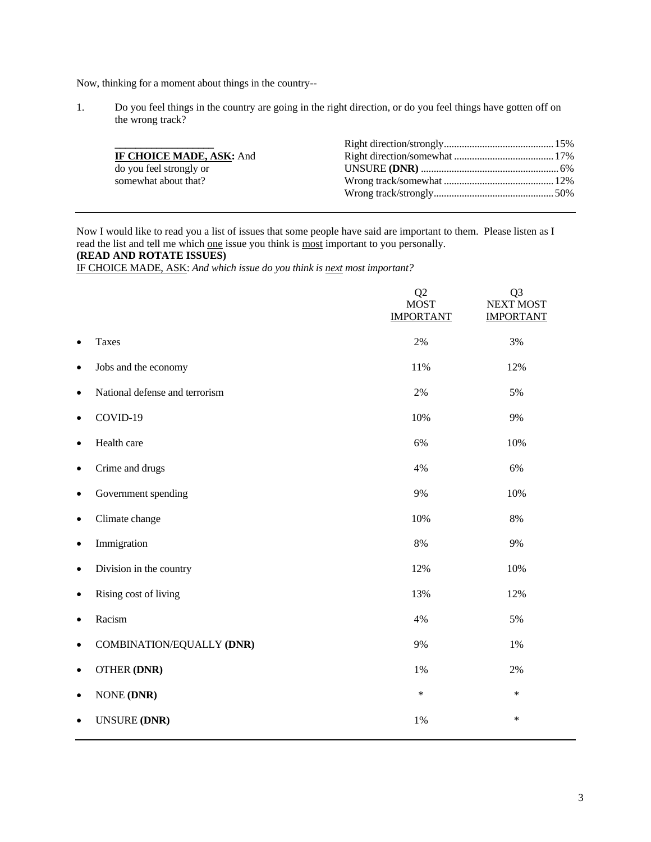Now, thinking for a moment about things in the country--

1. Do you feel things in the country are going in the right direction, or do you feel things have gotten off on the wrong track?

| IF CHOICE MADE, ASK: And |  |
|--------------------------|--|
| do you feel strongly or  |  |
| somewhat about that?     |  |
|                          |  |
|                          |  |

Now I would like to read you a list of issues that some people have said are important to them. Please listen as I read the list and tell me which one issue you think is most important to you personally.

# **(READ AND ROTATE ISSUES)**

IF CHOICE MADE, ASK: *And which issue do you think is next most important?*

|           |                                | Q <sub>2</sub><br><b>MOST</b><br><b>IMPORTANT</b> | Q <sub>3</sub><br><b>NEXT MOST</b><br><b>IMPORTANT</b> |
|-----------|--------------------------------|---------------------------------------------------|--------------------------------------------------------|
| $\bullet$ | <b>Taxes</b>                   | 2%                                                | 3%                                                     |
| $\bullet$ | Jobs and the economy           | 11%                                               | 12%                                                    |
| $\bullet$ | National defense and terrorism | 2%                                                | 5%                                                     |
| $\bullet$ | COVID-19                       | 10%                                               | 9%                                                     |
| $\bullet$ | Health care                    | 6%                                                | 10%                                                    |
| $\bullet$ | Crime and drugs                | 4%                                                | 6%                                                     |
| $\bullet$ | Government spending            | 9%                                                | 10%                                                    |
| $\bullet$ | Climate change                 | 10%                                               | 8%                                                     |
| $\bullet$ | Immigration                    | $8\%$                                             | 9%                                                     |
| $\bullet$ | Division in the country        | 12%                                               | 10%                                                    |
| $\bullet$ | Rising cost of living          | 13%                                               | 12%                                                    |
| $\bullet$ | Racism                         | 4%                                                | 5%                                                     |
| $\bullet$ | COMBINATION/EQUALLY (DNR)      | 9%                                                | 1%                                                     |
| $\bullet$ | <b>OTHER (DNR)</b>             | 1%                                                | 2%                                                     |
| $\bullet$ | <b>NONE (DNR)</b>              | $\ast$                                            | $\ast$                                                 |
| ٠         | <b>UNSURE (DNR)</b>            | 1%                                                | $\ast$                                                 |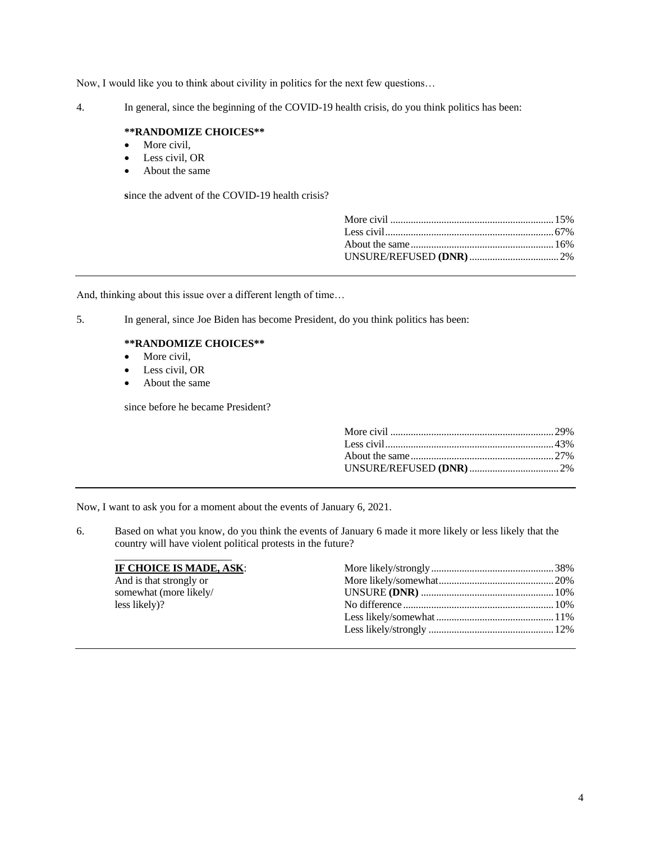Now, I would like you to think about civility in politics for the next few questions…

4. In general, since the beginning of the COVID-19 health crisis, do you think politics has been:

## **\*\*RANDOMIZE CHOICES\*\***

- More civil,
- Less civil, OR
- About the same

**s**ince the advent of the COVID-19 health crisis?

And, thinking about this issue over a different length of time…

5. In general, since Joe Biden has become President, do you think politics has been:

## **\*\*RANDOMIZE CHOICES\*\***

- More civil,
- Less civil, OR
- About the same

since before he became President?

Now, I want to ask you for a moment about the events of January 6, 2021.

6. Based on what you know, do you think the events of January 6 made it more likely or less likely that the country will have violent political protests in the future?

| IF CHOICE IS MADE, ASK: |  |
|-------------------------|--|
| And is that strongly or |  |
| somewhat (more likely/  |  |
| less likely)?           |  |
|                         |  |
|                         |  |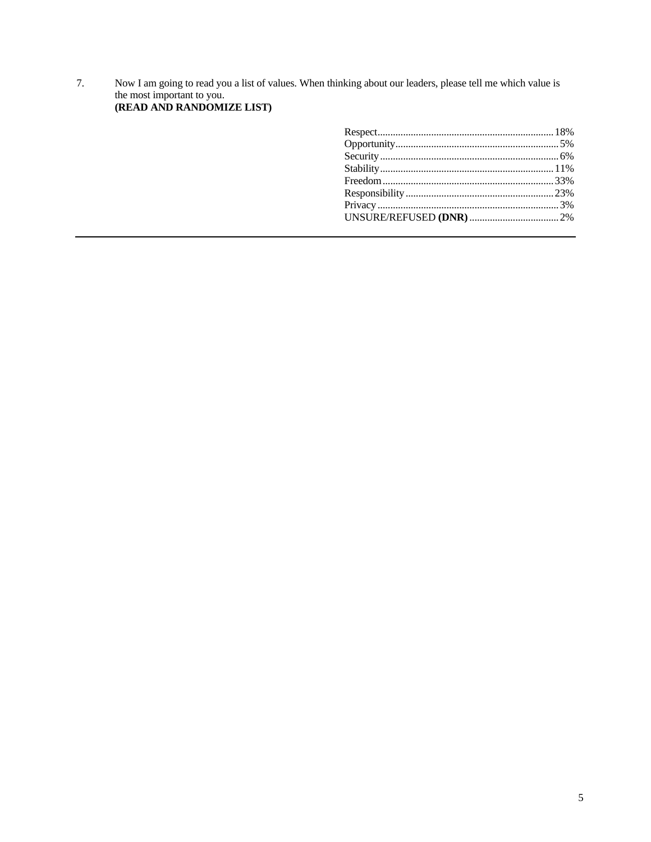Now I am going to read you a list of values. When thinking about our leaders, please tell me which value is the most important to you.<br>(READ AND RANDOMIZE LIST) 7.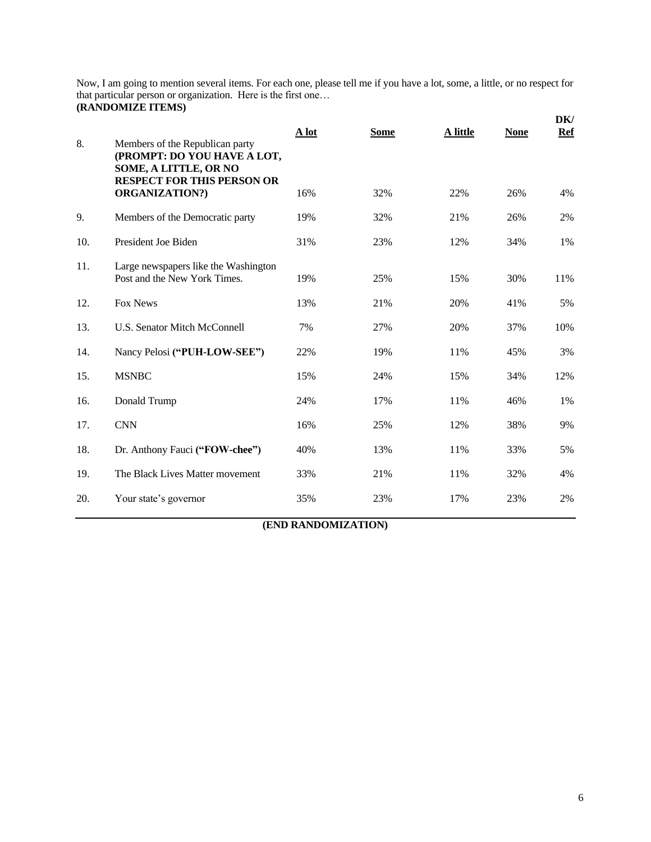Now, I am going to mention several items. For each one, please tell me if you have a lot, some, a little, or no respect for that particular person or organization. Here is the first one… **(RANDOMIZE ITEMS)**  $\mathbf{D}$ **D** 

| 8.  | Members of the Republican party<br>(PROMPT: DO YOU HAVE A LOT,<br>SOME, A LITTLE, OR NO | A lot | <b>Some</b> | A little | <b>None</b> | DK/<br><b>Ref</b> |
|-----|-----------------------------------------------------------------------------------------|-------|-------------|----------|-------------|-------------------|
|     | <b>RESPECT FOR THIS PERSON OR</b><br><b>ORGANIZATION?)</b>                              | 16%   | 32%         | 22%      | 26%         | 4%                |
| 9.  | Members of the Democratic party                                                         | 19%   | 32%         | 21%      | 26%         | 2%                |
| 10. | President Joe Biden                                                                     | 31%   | 23%         | 12%      | 34%         | 1%                |
| 11. | Large newspapers like the Washington<br>Post and the New York Times.                    | 19%   | 25%         | 15%      | 30%         | 11%               |
| 12. | <b>Fox News</b>                                                                         | 13%   | 21%         | 20%      | 41%         | 5%                |
| 13. | U.S. Senator Mitch McConnell                                                            | 7%    | 27%         | 20%      | 37%         | 10%               |
| 14. | Nancy Pelosi ("PUH-LOW-SEE")                                                            | 22%   | 19%         | 11%      | 45%         | 3%                |
| 15. | <b>MSNBC</b>                                                                            | 15%   | 24%         | 15%      | 34%         | 12%               |
| 16. | Donald Trump                                                                            | 24%   | 17%         | 11%      | 46%         | 1%                |
| 17. | <b>CNN</b>                                                                              | 16%   | 25%         | 12%      | 38%         | 9%                |
| 18. | Dr. Anthony Fauci ("FOW-chee")                                                          | 40%   | 13%         | 11%      | 33%         | 5%                |
| 19. | The Black Lives Matter movement                                                         | 33%   | 21%         | 11%      | 32%         | 4%                |
| 20. | Your state's governor                                                                   | 35%   | 23%         | 17%      | 23%         | 2%                |

# **(END RANDOMIZATION)**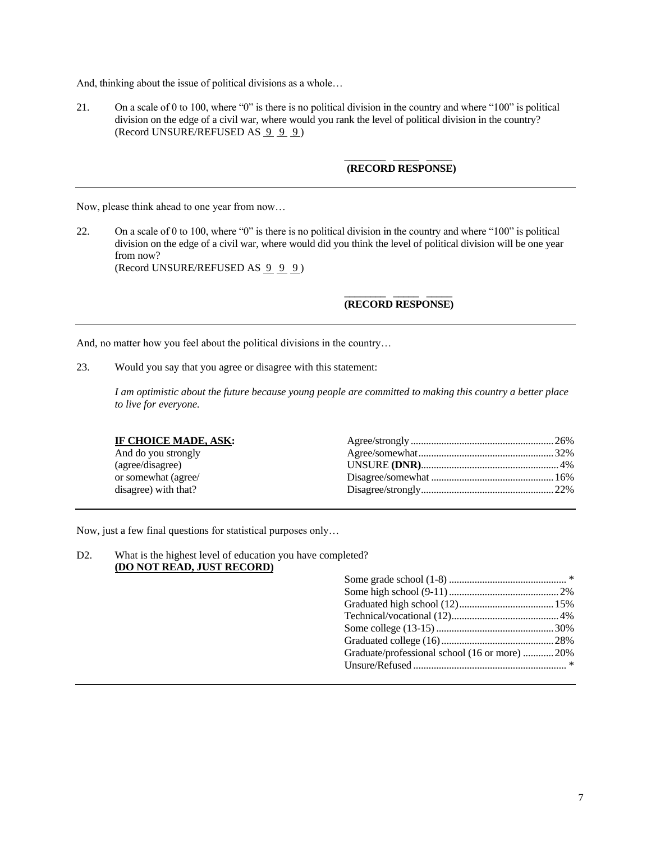And, thinking about the issue of political divisions as a whole…

21. On a scale of 0 to 100, where "0" is there is no political division in the country and where "100" is political division on the edge of a civil war, where would you rank the level of political division in the country? (Record UNSURE/REFUSED AS  $9 \overline{9} \overline{9}$ )

## \_\_\_\_\_\_\_\_ \_\_\_\_\_ \_\_\_\_\_ **(RECORD RESPONSE)**

Now, please think ahead to one year from now…

22. On a scale of 0 to 100, where "0" is there is no political division in the country and where "100" is political division on the edge of a civil war, where would did you think the level of political division will be one year from now? (Record UNSURE/REFUSED AS  $999$ )

### \_\_\_\_\_\_\_\_ \_\_\_\_\_ \_\_\_\_\_ **(RECORD RESPONSE)**

And, no matter how you feel about the political divisions in the country…

23. Would you say that you agree or disagree with this statement:

*I am optimistic about the future because young people are committed to making this country a better place to live for everyone.*

| IF CHOICE MADE, ASK: |  |
|----------------------|--|
| And do you strongly  |  |
| (agree/disagree)     |  |
| or somewhat (agree/  |  |
| disagree) with that? |  |
|                      |  |

Now, just a few final questions for statistical purposes only…

D2. What is the highest level of education you have completed? **(DO NOT READ, JUST RECORD)**

| Graduate/professional school (16 or more)  20% |  |
|------------------------------------------------|--|
|                                                |  |
|                                                |  |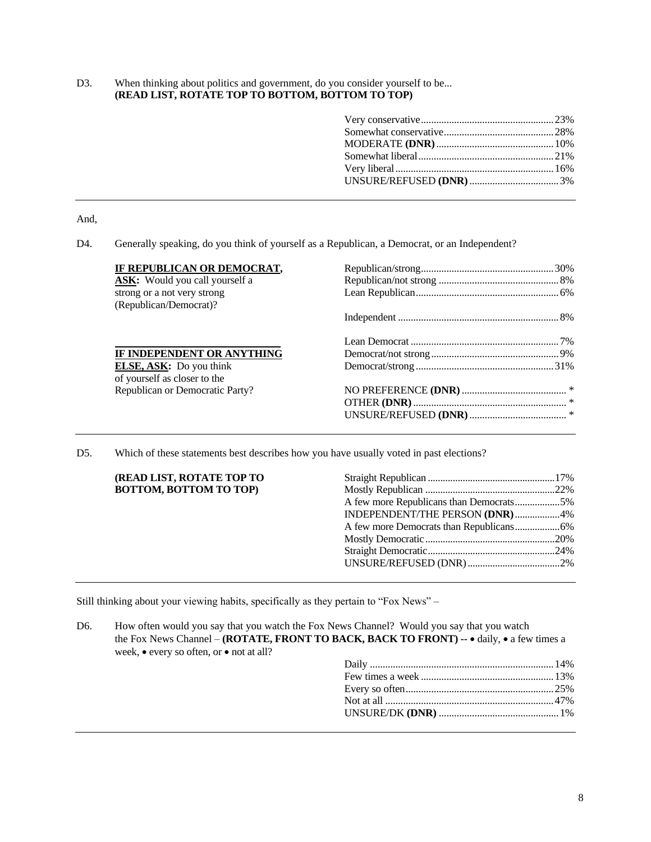D3. When thinking about politics and government, do you consider yourself to be... **(READ LIST, ROTATE TOP TO BOTTOM, BOTTOM TO TOP)**

And,

D4. Generally speaking, do you think of yourself as a Republican, a Democrat, or an Independent?

| IF REPUBLICAN OR DEMOCRAT,            |  |
|---------------------------------------|--|
| <b>ASK:</b> Would you call yourself a |  |
| strong or a not very strong           |  |
| (Republican/Democrat)?                |  |
|                                       |  |
|                                       |  |
| IF INDEPENDENT OR ANYTHING            |  |
| <b>ELSE, ASK:</b> Do you think        |  |
| of yourself as closer to the          |  |
| Republican or Democratic Party?       |  |
|                                       |  |
|                                       |  |
|                                       |  |

D5. Which of these statements best describes how you have usually voted in past elections?

| (READ LIST, ROTATE TOP TO     |                                         |  |
|-------------------------------|-----------------------------------------|--|
| <b>BOTTOM, BOTTOM TO TOP)</b> |                                         |  |
|                               | A few more Republicans than Democrats5% |  |
|                               | INDEPENDENT/THE PERSON (DNR)4%          |  |
|                               |                                         |  |
|                               |                                         |  |
|                               |                                         |  |
|                               |                                         |  |
|                               |                                         |  |

Still thinking about your viewing habits, specifically as they pertain to "Fox News" –

D6. How often would you say that you watch the Fox News Channel? Would you say that you watch the Fox News Channel – **(ROTATE, FRONT TO BACK, BACK TO FRONT) --** • daily, • a few times a week, • every so often, or • not at all?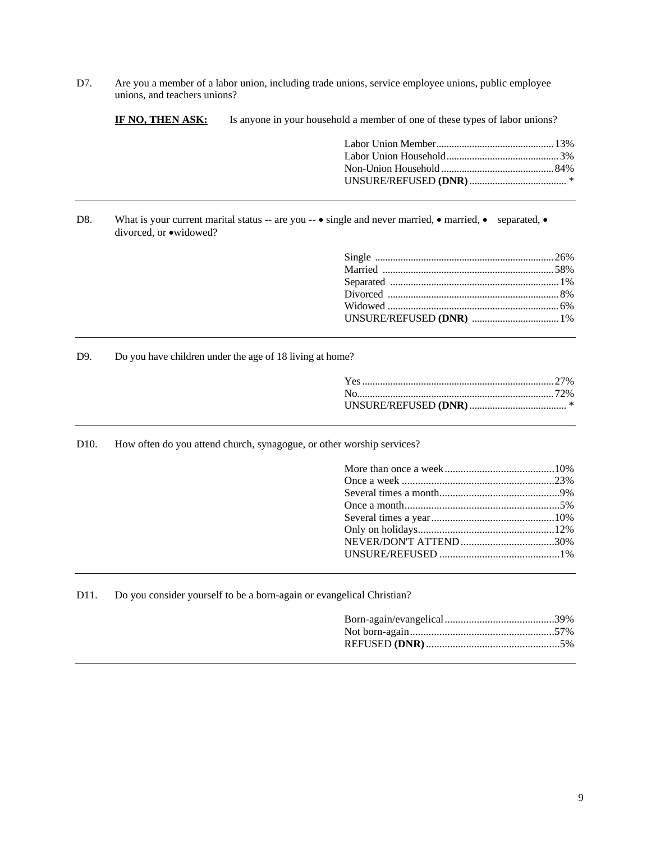D7. Are you a member of a labor union, including trade unions, service employee unions, public employee unions, and teachers unions?

**IF NO, THEN ASK:** Is anyone in your household a member of one of these types of labor unions?

D8. What is your current marital status -- are you --  $\bullet$  single and never married,  $\bullet$  married,  $\bullet$  separated,  $\bullet$ divorced, or •widowed?

D9. Do you have children under the age of 18 living at home?

| $\ast$ |
|--------|

D10. How often do you attend church, synagogue, or other worship services?

D11. Do you consider yourself to be a born-again or evangelical Christian?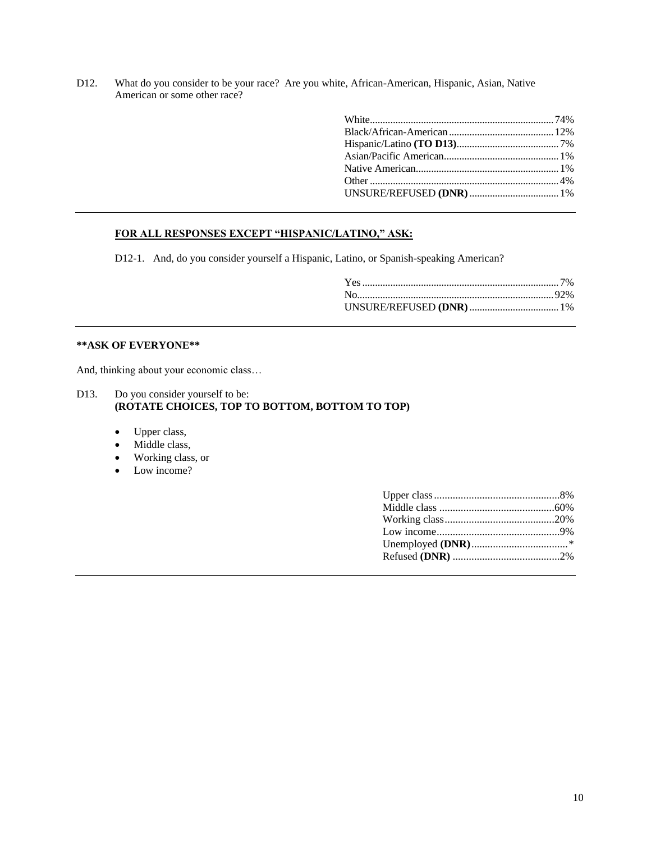D12. What do you consider to be your race? Are you white, African-American, Hispanic, Asian, Native American or some other race?

## **FOR ALL RESPONSES EXCEPT "HISPANIC/LATINO," ASK:**

D12-1. And, do you consider yourself a Hispanic, Latino, or Spanish-speaking American?

## **\*\*ASK OF EVERYONE\*\***

And, thinking about your economic class…

- D13. Do you consider yourself to be: **(ROTATE CHOICES, TOP TO BOTTOM, BOTTOM TO TOP)**
	- Upper class,
	- Middle class,
	- Working class, or
	- Low income?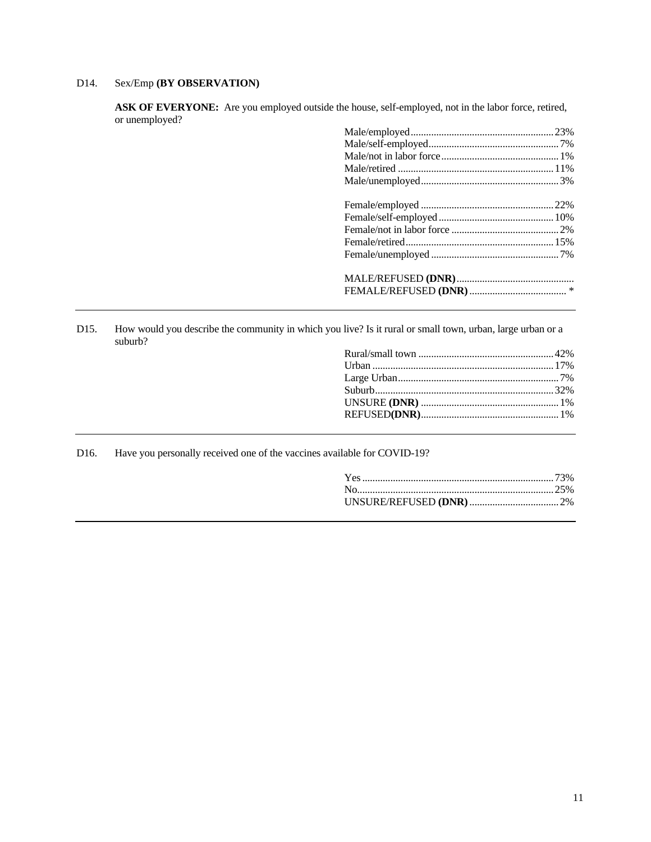# D14. Sex/Emp **(BY OBSERVATION)**

**ASK OF EVERYONE:** Are you employed outside the house, self-employed, not in the labor force, retired, or unemployed?

D15. How would you describe the community in which you live? Is it rural or small town, urban, large urban or a suburb?

D16. Have you personally received one of the vaccines available for COVID-19?